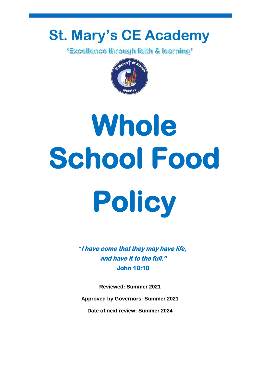## **St. Mary's CE Academy**<br>**Excellence through faith & learning**<sup>\*</sup>



# **Whole School Food Policy**

*"***I have come that they may have life, and have it to the full." John 10:10** 

**Reviewed: Summer 2021**

**Approved by Governors: Summer 2021**

**Date of next review: Summer 2024**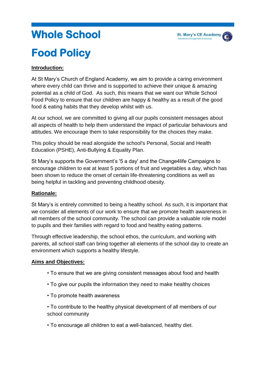### **Whole School Food Policy**

#### **Introduction:**

At St Mary's Church of England Academy, we aim to provide a caring environment where every child can thrive and is supported to achieve their unique & amazing potential as a child of God. As such, this means that we want our Whole School Food Policy to ensure that our children are happy & healthy as a result of the good food & eating habits that they develop whilst with us.

At our school, we are committed to giving all our pupils consistent messages about all aspects of health to help them understand the impact of particular behaviours and attitudes. We encourage them to take responsibility for the choices they make.

This policy should be read alongside the school's Personal, Social and Health Education (PSHE), Anti-Bullying & Equality Plan.

St Mary's supports the Government's '5 a day' and the Change4life Campaigns to encourage children to eat at least 5 portions of fruit and vegetables a day, which has been shown to reduce the onset of certain life-threatening conditions as well as being helpful in tackling and preventing childhood obesity.

#### **Rationale:**

St Mary's is entirely committed to being a healthy school. As such, it is important that we consider all elements of our work to ensure that we promote health awareness in all members of the school community. The school can provide a valuable role model to pupils and their families with regard to food and healthy eating patterns.

Through effective leadership, the school ethos, the curriculum, and working with parents, all school staff can bring together all elements of the school day to create an environment which supports a healthy lifestyle.

#### **Aims and Objectives:**

- To ensure that we are giving consistent messages about food and health
- To give our pupils the information they need to make healthy choices
- To promote health awareness

• To contribute to the healthy physical development of all members of our school community

• To encourage all children to eat a well-balanced, healthy diet.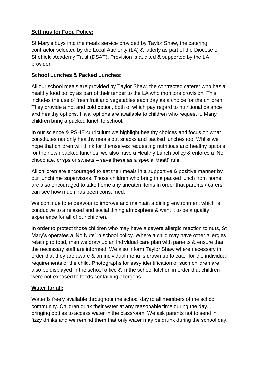#### **Settings for Food Policy:**

St Mary's buys into the meals service provided by Taylor Shaw, the catering contractor selected by the Local Authority (LA) & latterly as part of the Diocese of Sheffield Academy Trust (DSAT). Provision is audited & supported by the LA provider.

#### **School Lunches & Packed Lunches:**

All our school meals are provided by Taylor Shaw, the contracted caterer who has a healthy food policy as part of their tender to the LA who monitors provision. This includes the use of fresh fruit and vegetables each day as a choice for the children. They provide a hot and cold option, both of which pay regard to nutritional balance and healthy options. Halal options are available to children who request it. Many children bring a packed lunch to school.

In our science & PSHE curriculum we highlight healthy choices and focus on what constitutes not only healthy meals but snacks and packed lunches too. Whilst we hope that children will think for themselves requesting nutritious and healthy options for their own packed lunches, we also have a Healthy Lunch policy & enforce a 'No chocolate, crisps or sweets – save these as a special treat!' rule.

All children are encouraged to eat their meals in a supportive & positive manner by our lunchtime supervisors. Those children who bring in a packed lunch from home are also encouraged to take home any uneaten items in order that parents / carers can see how much has been consumed.

We continue to endeavour to improve and maintain a dining environment which is conducive to a relaxed and social dining atmosphere & want it to be a quality experience for all of our children.

In order to protect those children who may have a severe allergic reaction to nuts, St Mary's operates a 'No Nuts' in school policy. Where a child may have other allergies relating to food, then we draw up an individual care plan with parents & ensure that the necessary staff are informed. We also inform Taylor Shaw where necessary in order that they are aware & an individual menu is drawn up to cater for the individual requirements of the child. Photographs for easy identification of such children are also be displayed in the school office & in the school kitchen in order that children were not exposed to foods containing allergens.

#### **Water for all:**

Water is freely available throughout the school day to all members of the school community. Children drink their water at any reasonable time during the day, bringing bottles to access water in the classroom. We ask parents not to send in fizzy drinks and we remind them that only water may be drunk during the school day.